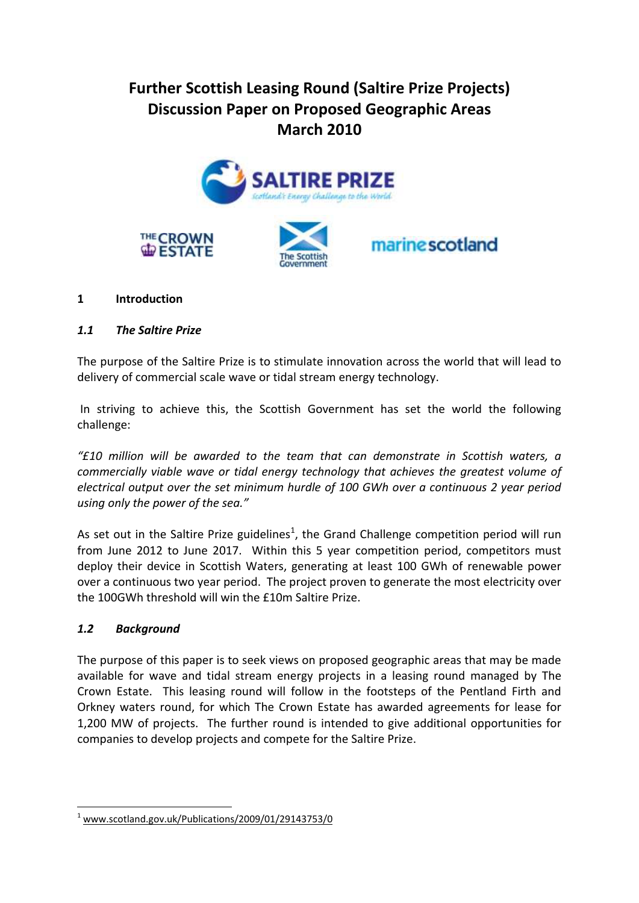# **Further Scottish Leasing Round (Saltire Prize Projects) Discussion Paper on Proposed Geographic Areas March 2010**



#### **1 Introduction**

#### *1.1 The Saltire Prize*

The purpose of the Saltire Prize is to stimulate innovation across the world that will lead to delivery of commercial scale wave or tidal stream energy technology.

In striving to achieve this, the Scottish Government has set the world the following challenge:

*"£10 million will be awarded to the team that can demonstrate in Scottish waters, a commercially viable wave or tidal energy technology that achieves the greatest volume of electrical output over the set minimum hurdle of 100 GWh over a continuous 2 year period using only the power of the sea."*

As set out in the Saltire Prize guidelines<sup>1</sup>, the Grand Challenge competition period will run from June 2012 to June 2017. Within this 5 year competition period, competitors must deploy their device in Scottish Waters, generating at least 100 GWh of renewable power over a continuous two year period. The project proven to generate the most electricity over the 100GWh threshold will win the £10m Saltire Prize.

#### *1.2 Background*

1

The purpose of this paper is to seek views on proposed geographic areas that may be made available for wave and tidal stream energy projects in a leasing round managed by The Crown Estate. This leasing round will follow in the footsteps of the Pentland Firth and Orkney waters round, for which The Crown Estate has awarded agreements for lease for 1,200 MW of projects. The further round is intended to give additional opportunities for companies to develop projects and compete for the Saltire Prize.

 $1$  [www.scotland.gov.uk/Publications/2009/01/29143753/0](http://www.scotland.gov.uk/Publications/2009/01/29143753/0)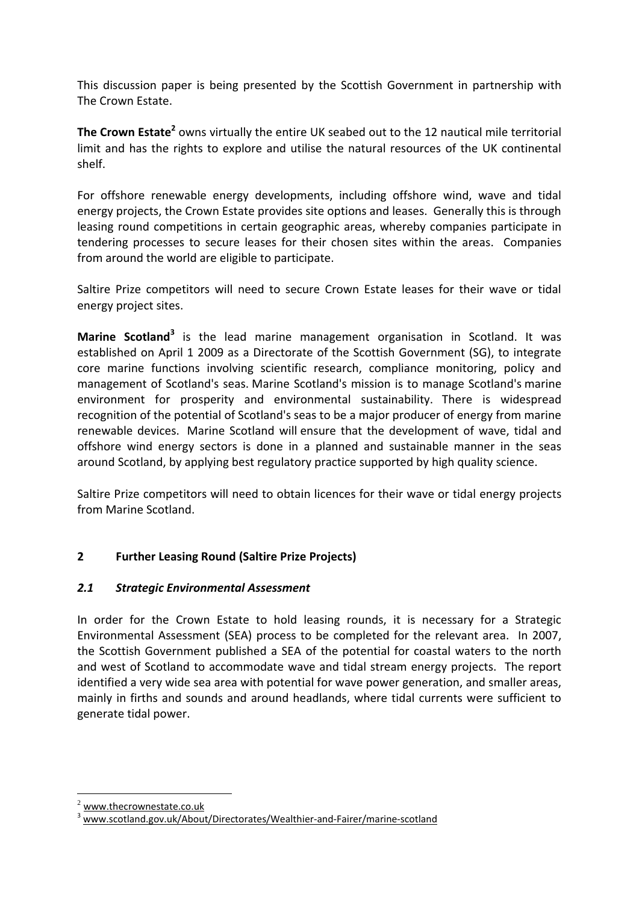This discussion paper is being presented by the Scottish Government in partnership with The Crown Estate.

The Crown Estate<sup>2</sup> owns virtually the entire UK seabed out to the 12 nautical mile territorial limit and has the rights to explore and utilise the natural resources of the UK continental shelf.

For offshore renewable energy developments, including offshore wind, wave and tidal energy projects, the Crown Estate provides site options and leases. Generally this is through leasing round competitions in certain geographic areas, whereby companies participate in tendering processes to secure leases for their chosen sites within the areas. Companies from around the world are eligible to participate.

Saltire Prize competitors will need to secure Crown Estate leases for their wave or tidal energy project sites.

Marine Scotland<sup>3</sup> is the lead marine management organisation in Scotland. It was established on April 1 2009 as a Directorate of the Scottish Government (SG), to integrate core marine functions involving scientific research, compliance monitoring, policy and management of Scotland's seas. Marine Scotland's mission is to manage Scotland's marine environment for prosperity and environmental sustainability. There is widespread recognition of the potential of Scotland's seas to be a major producer of energy from marine renewable devices. Marine Scotland will ensure that the development of wave, tidal and offshore wind energy sectors is done in a planned and sustainable manner in the seas around Scotland, by applying best regulatory practice supported by high quality science.

Saltire Prize competitors will need to obtain licences for their wave or tidal energy projects from Marine Scotland.

# **2 Further Leasing Round (Saltire Prize Projects)**

#### *2.1 Strategic Environmental Assessment*

In order for the Crown Estate to hold leasing rounds, it is necessary for a Strategic Environmental Assessment (SEA) process to be completed for the relevant area. In 2007, the Scottish Government published a SEA of the potential for coastal waters to the north and west of Scotland to accommodate wave and tidal stream energy projects. The report identified a very wide sea area with potential for wave power generation, and smaller areas, mainly in firths and sounds and around headlands, where tidal currents were sufficient to generate tidal power.

1

[www.thecrownestate.co.uk](http://www.thecrownestate.co.uk/)

<sup>3</sup> [www.scotland.gov.uk/About/Directorates/Wealthier-and-Fairer/marine-scotland](http://www.scotland.gov.uk/About/Directorates/Wealthier-and-Fairer/marine-scotland)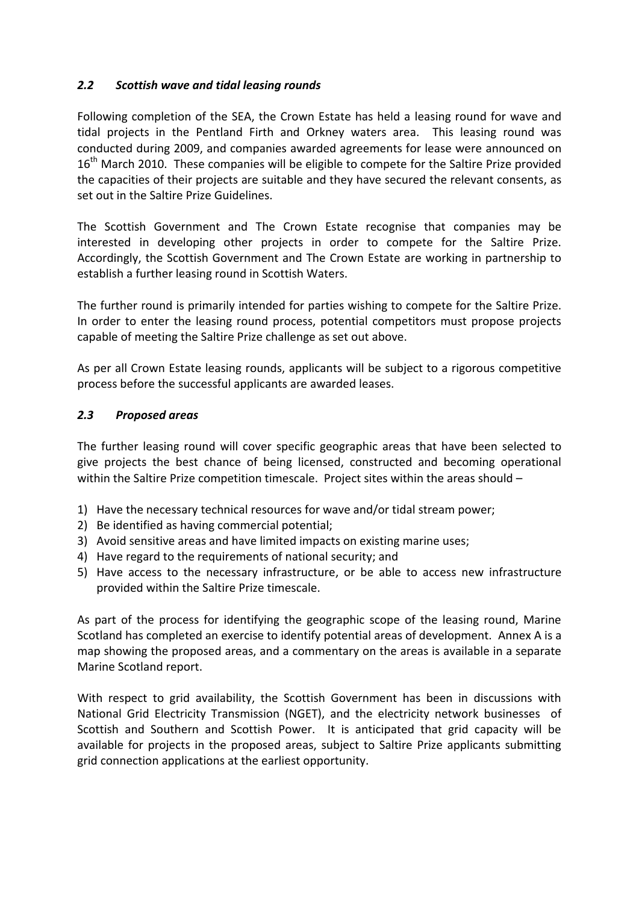#### *2.2 Scottish wave and tidal leasing rounds*

Following completion of the SEA, the Crown Estate has held a leasing round for wave and tidal projects in the Pentland Firth and Orkney waters area. This leasing round was conducted during 2009, and companies awarded agreements for lease were announced on 16<sup>th</sup> March 2010. These companies will be eligible to compete for the Saltire Prize provided the capacities of their projects are suitable and they have secured the relevant consents, as set out in the Saltire Prize Guidelines.

The Scottish Government and The Crown Estate recognise that companies may be interested in developing other projects in order to compete for the Saltire Prize. Accordingly, the Scottish Government and The Crown Estate are working in partnership to establish a further leasing round in Scottish Waters.

The further round is primarily intended for parties wishing to compete for the Saltire Prize. In order to enter the leasing round process, potential competitors must propose projects capable of meeting the Saltire Prize challenge as set out above.

As per all Crown Estate leasing rounds, applicants will be subject to a rigorous competitive process before the successful applicants are awarded leases.

#### *2.3 Proposed areas*

The further leasing round will cover specific geographic areas that have been selected to give projects the best chance of being licensed, constructed and becoming operational within the Saltire Prize competition timescale. Project sites within the areas should –

- 1) Have the necessary technical resources for wave and/or tidal stream power;
- 2) Be identified as having commercial potential;
- 3) Avoid sensitive areas and have limited impacts on existing marine uses;
- 4) Have regard to the requirements of national security; and
- 5) Have access to the necessary infrastructure, or be able to access new infrastructure provided within the Saltire Prize timescale.

As part of the process for identifying the geographic scope of the leasing round, Marine Scotland has completed an exercise to identify potential areas of development. Annex A is a map showing the proposed areas, and a commentary on the areas is available in a separate Marine Scotland report.

With respect to grid availability, the Scottish Government has been in discussions with National Grid Electricity Transmission (NGET), and the electricity network businesses of Scottish and Southern and Scottish Power. It is anticipated that grid capacity will be available for projects in the proposed areas, subject to Saltire Prize applicants submitting grid connection applications at the earliest opportunity.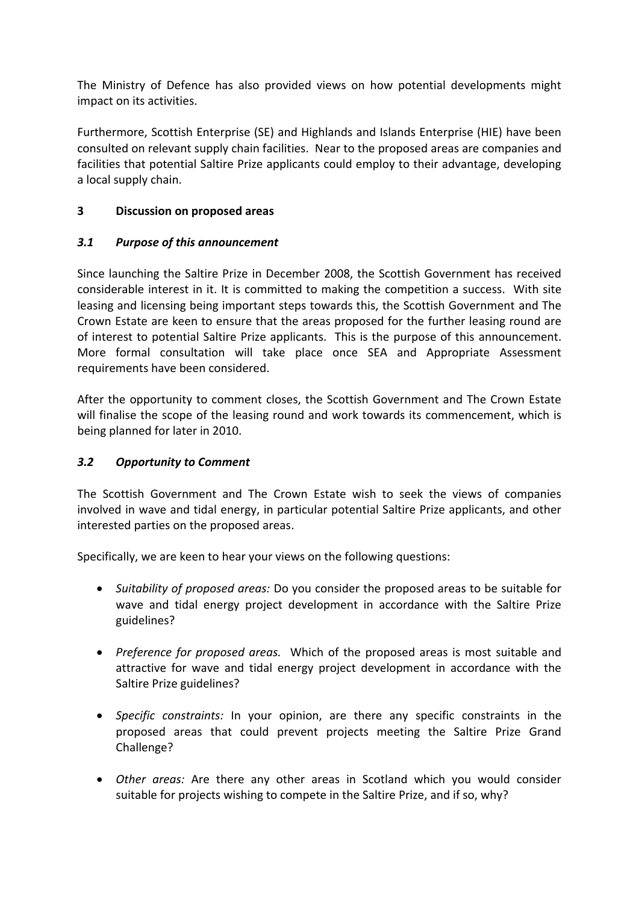The Ministry of Defence has also provided views on how potential developments might impact on its activities.

Furthermore, Scottish Enterprise (SE) and Highlands and Islands Enterprise (HIE) have been consulted on relevant supply chain facilities. Near to the proposed areas are companies and facilities that potential Saltire Prize applicants could employ to their advantage, developing a local supply chain.

### **3 Discussion on proposed areas**

### *3.1 Purpose of this announcement*

Since launching the Saltire Prize in December 2008, the Scottish Government has received considerable interest in it. It is committed to making the competition a success.With site leasing and licensing being important steps towards this, the Scottish Government and The Crown Estate are keen to ensure that the areas proposed for the further leasing round are of interest to potential Saltire Prize applicants. This is the purpose of this announcement. More formal consultation will take place once SEA and Appropriate Assessment requirements have been considered.

After the opportunity to comment closes, the Scottish Government and The Crown Estate will finalise the scope of the leasing round and work towards its commencement, which is being planned for later in 2010.

# *3.2 Opportunity to Comment*

The Scottish Government and The Crown Estate wish to seek the views of companies involved in wave and tidal energy, in particular potential Saltire Prize applicants, and other interested parties on the proposed areas.

Specifically, we are keen to hear your views on the following questions:

- *Suitability of proposed areas:* Do you consider the proposed areas to be suitable for wave and tidal energy project development in accordance with the Saltire Prize guidelines?
- *Preference for proposed areas.* Which of the proposed areas is most suitable and attractive for wave and tidal energy project development in accordance with the Saltire Prize guidelines?
- *Specific constraints:* In your opinion, are there any specific constraints in the proposed areas that could prevent projects meeting the Saltire Prize Grand Challenge?
- *Other areas:* Are there any other areas in Scotland which you would consider suitable for projects wishing to compete in the Saltire Prize, and if so, why?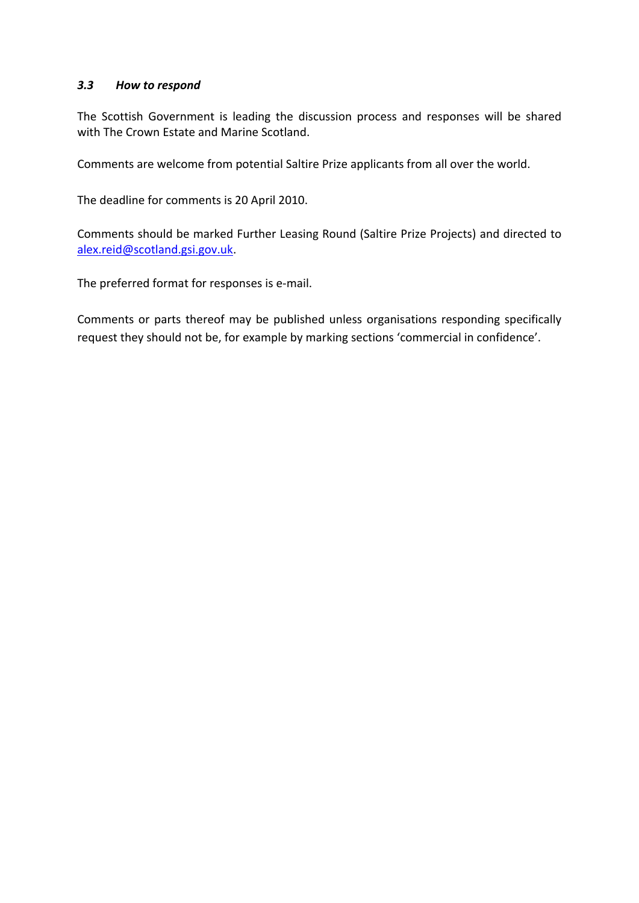#### *3.3 How to respond*

The Scottish Government is leading the discussion process and responses will be shared with The Crown Estate and Marine Scotland.

Comments are welcome from potential Saltire Prize applicants from all over the world.

The deadline for comments is 20 April 2010.

Comments should be marked Further Leasing Round (Saltire Prize Projects) and directed to [alex.reid@scotland.gsi.gov.uk.](mailto:alex.reid@scotland.gsi.gov.uk)

The preferred format for responses is e-mail.

Comments or parts thereof may be published unless organisations responding specifically request they should not be, for example by marking sections 'commercial in confidence'.